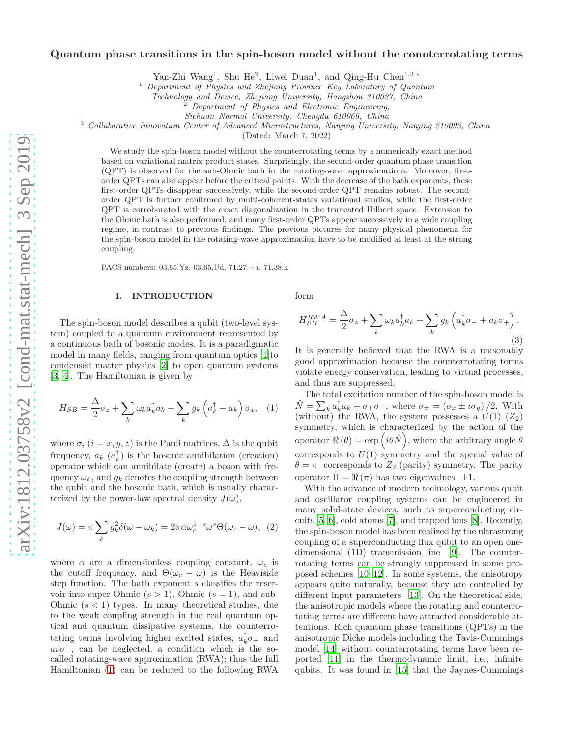# Quantum phase transitions in the spin-boson model without the counterrotating terms

Yan-Zhi Wang<sup>1</sup>, Shu He<sup>2</sup>, Liwei Duan<sup>1</sup>, and Qing-Hu Chen<sup>1,3,\*</sup>

<sup>1</sup> Department of Physics and Zhejiang Province Key Laboratory of Quantum

Technology and Device, Zhejiang University, Hangzhou 310027, China

Sichuan Normal University, Chengdu 610066, China

<sup>3</sup> Collaborative Innovation Center of Advanced Microstructures, Nanjing University, Nanjing 210093, China

(Dated: March 7, 2022)

We study the spin-boson model without the counterrotating terms by a numerically exact method based on variational matrix product states. Surprisingly, the second-order quantum phase transition (QPT) is observed for the sub-Ohmic bath in the rotating-wave approximations. Moreover, firstorder QPTs can also appear before the critical points. With the decrease of the bath exponents, these first-order QPTs disappear successively, while the second-order QPT remains robust. The secondorder QPT is further confirmed by multi-coherent-states variational studies, while the first-order QPT is corroborated with the exact diagonalization in the truncated Hilbert space. Extension to the Ohmic bath is also performed, and many first-order QPTs appear successively in a wide coupling regime, in contrast to previous findings. The previous pictures for many physical phenomena for the spin-boson model in the rotating-wave approximation have to be modified at least at the strong coupling.

PACS numbers: 03.65.Yz, 03.65.Ud, 71.27.+a, 71.38.k

# I. INTRODUCTION

The spin-boson model describes a qubit (two-level system) coupled to a quantum environment represented by a continuous bath of bosonic modes. It is a paradigmatic model in many fields, ranging from quantum optics [\[1\]](#page-9-0)to condensed matter physics [\[2](#page-9-1)] to open quantum systems [\[3,](#page-9-2) [4\]](#page-9-3). The Hamiltonian is given by

<span id="page-0-0"></span>
$$
H_{SB} = \frac{\Delta}{2}\sigma_z + \sum_k \omega_k a_k^{\dagger} a_k + \sum_k g_k \left(a_k^{\dagger} + a_k\right) \sigma_x, \quad (1)
$$

where  $\sigma_i$   $(i = x, y, z)$  is the Pauli matrices,  $\Delta$  is the qubit frequency,  $a_k$   $(a_k^{\dagger})$  is the bosonic annihilation (creation) operator which can annihilate (create) a boson with frequency  $\omega_k$ , and  $g_k$  denotes the coupling strength between the qubit and the bosonic bath, which is usually characterized by the power-law spectral density  $J(\omega)$ ,

$$
J(\omega) = \pi \sum_{k} g_{k}^{2} \delta(\omega - \omega_{k}) = 2\pi \alpha \omega_{c}^{1-s} \omega^{s} \Theta(\omega_{c} - \omega), \tag{2}
$$

where  $\alpha$  are a dimensionless coupling constant,  $\omega_c$  is the cutoff frequency, and  $\Theta(\omega_c - \omega)$  is the Heaviside step function. The bath exponent s classifies the reservoir into super-Ohmic  $(s > 1)$ , Ohmic  $(s = 1)$ , and sub-Ohmic  $(s < 1)$  types. In many theoretical studies, due to the weak coupling strength in the real quantum optical and quantum dissipative systems, the counterrotating terms involving higher excited states,  $a_k^{\dagger} \sigma_+$  and  $a_k \sigma_$ , can be neglected, a condition which is the socalled rotating-wave approximation (RWA); thus the full Hamiltonian [\(1\)](#page-0-0) can be reduced to the following RWA form

$$
H_{SB}^{RWA} = \frac{\Delta}{2}\sigma_z + \sum_k \omega_k a_k^{\dagger} a_k + \sum_k g_k \left( a_k^{\dagger} \sigma_- + a_k \sigma_+ \right). \tag{3}
$$

It is generally believed that the RWA is a reasonably good approximation because the counterrotating terms violate energy conservation, leading to virtual processes, and thus are suppressed.

The total excitation number of the spin-boson model is  $\hat{N} = \sum_{k} a_k^{\dagger} a_k + \sigma_+ \sigma_-,$  where  $\sigma_{\pm} = (\sigma_x \pm i \sigma_y)/2$ . With (without) the RWA, the system possesses a  $U(1)$   $(Z_2)$ symmetry, which is characterized by the action of the operator  $\Re(\theta) = \exp(i\theta \hat{N}),$  where the arbitrary angle  $\theta$ corresponds to  $U(1)$  symmetry and the special value of  $\theta = \pi$  corresponds to  $Z_2$  (parity) symmetry. The parity operator  $\Pi = \Re(\pi)$  has two eigenvalues  $\pm 1$ .

With the advance of modern technology, various qubit and oscillator coupling systems can be engineered in many solid-state devices, such as superconducting circuits [\[5,](#page-9-4) [6\]](#page-9-5), cold atoms [\[7](#page-9-6)], and trapped ions [\[8\]](#page-9-7). Recently, the spin-boson model has been realized by the ultrastrong coupling of a superconducting flux qubit to an open onedimensional (1D) transmission line [\[9](#page-9-8)]. The counterrotating terms can be strongly suppressed in some proposed schemes [\[10](#page-9-9)[–12](#page-9-10)]. In some systems, the anisotropy appears quite naturally, because they are controlled by different input parameters [\[13\]](#page-9-11). On the theoretical side, the anisotropic models where the rotating and counterrotating terms are different have attracted considerable attentions. Rich quantum phase transitions (QPTs) in the anisotropic Dicke models including the Tavis-Cummings model [\[14\]](#page-9-12) without counterrotating terms have been reported [\[11](#page-9-13)] in the thermodynamic limit, i.e., infinite qubits. It was found in [\[15\]](#page-9-14) that the Jaynes-Cummings

<sup>2</sup> Department of Physics and Electronic Engineering,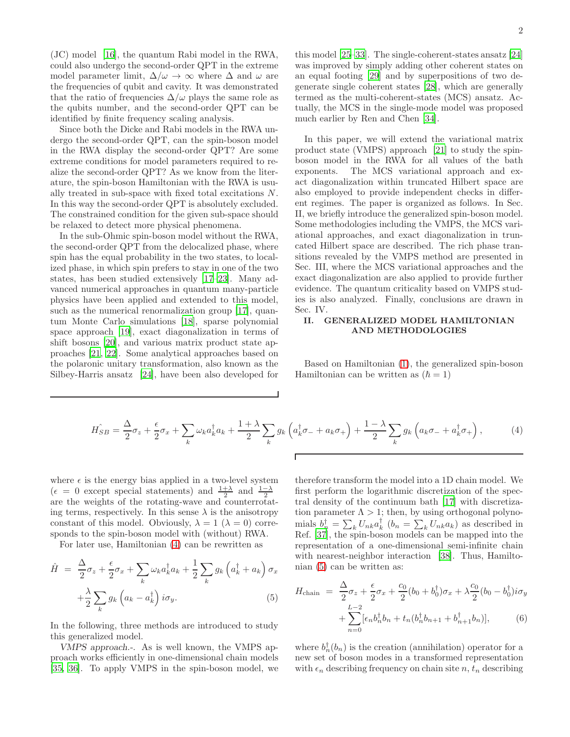(JC) model [\[16\]](#page-9-15), the quantum Rabi model in the RWA, could also undergo the second-order QPT in the extreme model parameter limit,  $\Delta/\omega \rightarrow \infty$  where  $\Delta$  and  $\omega$  are the frequencies of qubit and cavity. It was demonstrated that the ratio of frequencies  $\Delta/\omega$  plays the same role as the qubits number, and the second-order QPT can be identified by finite frequency scaling analysis.

Since both the Dicke and Rabi models in the RWA undergo the second-order QPT, can the spin-boson model in the RWA display the second-order QPT? Are some extreme conditions for model parameters required to realize the second-order QPT? As we know from the literature, the spin-boson Hamiltonian with the RWA is usually treated in sub-space with fixed total excitations N. In this way the second-order QPT is absolutely excluded. The constrained condition for the given sub-space should be relaxed to detect more physical phenomena.

In the sub-Ohmic spin-boson model without the RWA, the second-order QPT from the delocalized phase, where spin has the equal probability in the two states, to localized phase, in which spin prefers to stay in one of the two states, has been studied extensively [\[17](#page-9-16)[–23](#page-9-17)]. Many advanced numerical approaches in quantum many-particle physics have been applied and extended to this model, such as the numerical renormalization group [\[17](#page-9-16)], quantum Monte Carlo simulations [\[18](#page-9-18)], sparse polynomial space approach [\[19](#page-9-19)], exact diagonalization in terms of shift bosons [\[20](#page-9-20)], and various matrix product state approaches [\[21,](#page-9-21) [22\]](#page-9-22). Some analytical approaches based on the polaronic unitary transformation, also known as the Silbey-Harris ansatz [\[24\]](#page-9-23), have been also developed for

this model [\[25](#page-9-24)[–33\]](#page-9-25). The single-coherent-states ansatz [\[24](#page-9-23)] was improved by simply adding other coherent states on an equal footing [\[29](#page-9-26)] and by superpositions of two degenerate single coherent states [\[28\]](#page-9-27), which are generally termed as the multi-coherent-states (MCS) ansatz. Actually, the MCS in the single-mode model was proposed much earlier by Ren and Chen [\[34\]](#page-9-28).

In this paper, we will extend the variational matrix product state (VMPS) approach [\[21\]](#page-9-21) to study the spinboson model in the RWA for all values of the bath exponents. The MCS variational approach and exact diagonalization within truncated Hilbert space are also employed to provide independent checks in different regimes. The paper is organized as follows. In Sec. II, we briefly introduce the generalized spin-boson model. Some methodologies including the VMPS, the MCS variational approaches, and exact diagonalization in truncated Hilbert space are described. The rich phase transitions revealed by the VMPS method are presented in Sec. III, where the MCS variational approaches and the exact diagonalization are also applied to provide further evidence. The quantum criticality based on VMPS studies is also analyzed. Finally, conclusions are drawn in Sec. IV.

# II. GENERALIZED MODEL HAMILTONIAN AND METHODOLOGIES

Based on Hamiltonian [\(1\)](#page-0-0), the generalized spin-boson Hamiltonian can be written as  $(\hbar = 1)$ 

<span id="page-1-0"></span>
$$
\hat{H_{SB}} = \frac{\Delta}{2}\sigma_z + \frac{\epsilon}{2}\sigma_x + \sum_k \omega_k a_k^\dagger a_k + \frac{1+\lambda}{2}\sum_k g_k \left(a_k^\dagger \sigma_{-} + a_k \sigma_{+}\right) + \frac{1-\lambda}{2}\sum_k g_k \left(a_k \sigma_{-} + a_k^\dagger \sigma_{+}\right),\tag{4}
$$

where  $\epsilon$  is the energy bias applied in a two-level system  $(\epsilon = 0 \text{ except special statements})$  and  $\frac{1+\lambda}{2}$  and  $\frac{1-\lambda}{2}$ are the weights of the rotating-wave and counterrotating terms, respectively. In this sense  $\lambda$  is the anisotropy constant of this model. Obviously,  $\lambda = 1$  ( $\lambda = 0$ ) corresponds to the spin-boson model with (without) RWA.

For later use, Hamiltonian [\(4\)](#page-1-0) can be rewritten as

<span id="page-1-1"></span>
$$
\hat{H} = \frac{\Delta}{2}\sigma_z + \frac{\epsilon}{2}\sigma_x + \sum_k \omega_k a_k^{\dagger} a_k + \frac{1}{2} \sum_k g_k \left( a_k^{\dagger} + a_k \right) \sigma_x \n+ \frac{\lambda}{2} \sum_k g_k \left( a_k - a_k^{\dagger} \right) i \sigma_y.
$$
\n(5)

In the following, three methods are introduced to study this generalized model.

VMPS approach.-. As is well known, the VMPS approach works efficiently in one-dimensional chain models [\[35,](#page-9-29) [36\]](#page-9-30). To apply VMPS in the spin-boson model, we

therefore transform the model into a 1D chain model. We first perform the logarithmic discretization of the spectral density of the continuum bath [\[17\]](#page-9-16) with discretization parameter  $\Lambda > 1$ ; then, by using orthogonal polynomials  $b_n^{\dagger} = \sum_k U_{nk} a_k^{\dagger}$   $(b_n = \sum_k U_{nk} a_k)$  as described in Ref. [\[37\]](#page-9-31), the spin-boson models can be mapped into the representation of a one-dimensional semi-infinite chain with nearest-neighbor interaction [\[38](#page-9-32)]. Thus, Hamiltonian [\(5\)](#page-1-1) can be written as:

<span id="page-1-2"></span>
$$
H_{\text{chain}} = \frac{\Delta}{2}\sigma_z + \frac{\epsilon}{2}\sigma_x + \frac{c_0}{2}(b_0 + b_0^{\dagger})\sigma_x + \lambda \frac{c_0}{2}(b_0 - b_0^{\dagger})i\sigma_y + \sum_{n=0}^{L-2} [\epsilon_n b_n^{\dagger} b_n + t_n (b_n^{\dagger} b_{n+1} + b_{n+1}^{\dagger} b_n)], \qquad (6)
$$

where  $b_n^{\dagger}(b_n)$  is the creation (annihilation) operator for a new set of boson modes in a transformed representation with  $\epsilon_n$  describing frequency on chain site n,  $t_n$  describing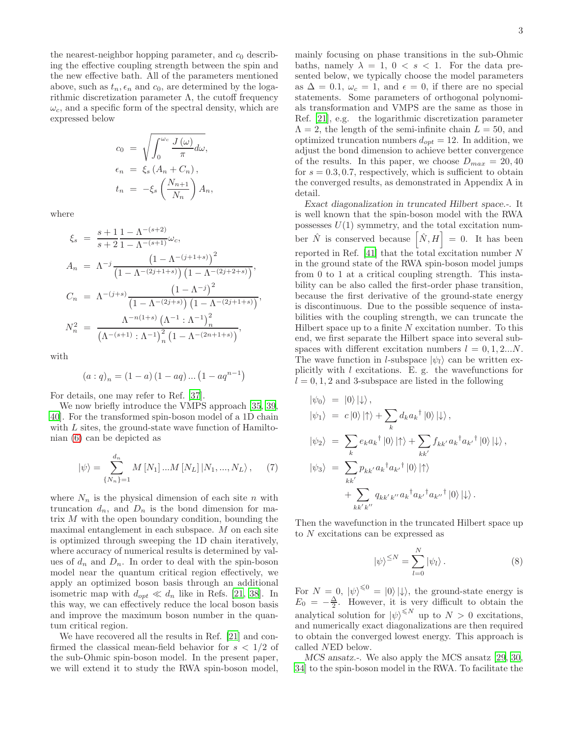the nearest-neighbor hopping parameter, and  $c_0$  describing the effective coupling strength between the spin and the new effective bath. All of the parameters mentioned above, such as  $t_n, \epsilon_n$  and  $c_0$ , are determined by the logarithmic discretization parameter  $\Lambda$ , the cutoff frequency  $\omega_c$ , and a specific form of the spectral density, which are expressed below

$$
c_0 = \sqrt{\int_0^{\omega_c} \frac{J(\omega)}{\pi} d\omega},
$$
  
\n
$$
\epsilon_n = \xi_s (A_n + C_n),
$$
  
\n
$$
t_n = -\xi_s \left(\frac{N_{n+1}}{N_n}\right) A_n,
$$

where

$$
\xi_s = \frac{s+1}{s+2} \frac{1 - \Lambda^{-(s+2)}}{1 - \Lambda^{-(s+1)}} \omega_c,
$$
  
\n
$$
A_n = \Lambda^{-j} \frac{\left(1 - \Lambda^{-(j+1+s)}\right)^2}{\left(1 - \Lambda^{-(2j+1+s)}\right) \left(1 - \Lambda^{-(2j+2+s)}\right)},
$$
  
\n
$$
C_n = \Lambda^{-(j+s)} \frac{\left(1 - \Lambda^{-j}\right)^2}{\left(1 - \Lambda^{-(2j+s)}\right) \left(1 - \Lambda^{-(2j+1+s)}\right)},
$$
  
\n
$$
N_n^2 = \frac{\Lambda^{-n(1+s)} \left(\Lambda^{-1} : \Lambda^{-1}\right)_n^2}{\left(\Lambda^{-(s+1)} : \Lambda^{-1}\right)_n^2 \left(1 - \Lambda^{-(2n+1+s)}\right)},
$$

with

$$
(a:q)_n = (1-a) (1-aq) \dots (1-aq^{n-1})
$$

For details, one may refer to Ref. [\[37\]](#page-9-31).

We now briefly introduce the VMPS approach [\[35,](#page-9-29) [39](#page-9-33), [40\]](#page-9-34). For the transformed spin-boson model of a 1D chain with L sites, the ground-state wave function of Hamiltonian [\(6\)](#page-1-2) can be depicted as

$$
|\psi\rangle = \sum_{\{N_n\}=1}^{d_n} M [N_1] ... M [N_L] |N_1, ..., N_L\rangle, \quad (7)
$$

where  $N_n$  is the physical dimension of each site n with truncation  $d_n$ , and  $D_n$  is the bond dimension for matrix M with the open boundary condition, bounding the maximal entanglement in each subspace. M on each site is optimized through sweeping the 1D chain iteratively, where accuracy of numerical results is determined by values of  $d_n$  and  $D_n$ . In order to deal with the spin-boson model near the quantum critical region effectively, we apply an optimized boson basis through an additional isometric map with  $d_{opt} \ll d_n$  like in Refs. [\[21,](#page-9-21) [38](#page-9-32)]. In this way, we can effectively reduce the local boson basis and improve the maximum boson number in the quantum critical region.

We have recovered all the results in Ref. [\[21\]](#page-9-21) and confirmed the classical mean-field behavior for  $s < 1/2$  of the sub-Ohmic spin-boson model. In the present paper, we will extend it to study the RWA spin-boson model,

mainly focusing on phase transitions in the sub-Ohmic baths, namely  $\lambda = 1, 0 < s < 1$ . For the data presented below, we typically choose the model parameters as  $\Delta = 0.1$ ,  $\omega_c = 1$ , and  $\epsilon = 0$ , if there are no special statements. Some parameters of orthogonal polynomials transformation and VMPS are the same as those in Ref. [\[21](#page-9-21)], e.g. the logarithmic discretization parameter  $\Lambda = 2$ , the length of the semi-infinite chain  $L = 50$ , and optimized truncation numbers  $d_{opt} = 12$ . In addition, we adjust the bond dimension to achieve better convergence of the results. In this paper, we choose  $D_{max} = 20, 40$ for  $s = 0.3, 0.7$ , respectively, which is sufficient to obtain the converged results, as demonstrated in Appendix A in detail.

Exact diagonalization in truncated Hilbert space.-. It is well known that the spin-boson model with the RWA possesses  $U(1)$  symmetry, and the total excitation number  $\hat{N}$  is conserved because  $\left[ \hat{N}, H \right] = 0$ . It has been reported in Ref.  $[41]$  that the total excitation number N in the ground state of the RWA spin-boson model jumps from 0 to 1 at a critical coupling strength. This instability can be also called the first-order phase transition, because the first derivative of the ground-state energy is discontinuous. Due to the possible sequence of instabilities with the coupling strength, we can truncate the Hilbert space up to a finite  $N$  excitation number. To this end, we first separate the Hilbert space into several subspaces with different excitation numbers  $l = 0, 1, 2...N$ . The wave function in *l*-subspace  $|\psi_l\rangle$  can be written explicitly with  $l$  excitations. E. g. the wavefunctions for  $l = 0, 1, 2$  and 3-subspace are listed in the following

$$
\begin{aligned}\n|\psi_0\rangle &= |0\rangle |\downarrow\rangle, \\
|\psi_1\rangle &= c |0\rangle |\uparrow\rangle + \sum_k d_k a_k^{\dagger} |0\rangle |\downarrow\rangle, \\
|\psi_2\rangle &= \sum_k e_k a_k^{\dagger} |0\rangle |\uparrow\rangle + \sum_{kk'} f_{kk'} a_k^{\dagger} a_{k'}^{\dagger} |0\rangle |\downarrow\rangle, \\
|\psi_3\rangle &= \sum_{kk'} p_{kk'} a_k^{\dagger} a_{k'}^{\dagger} |0\rangle |\uparrow\rangle \\
&+ \sum_{kk'k'} q_{kk'k''} a_k^{\dagger} a_{k'}^{\dagger} a_{k'}^{\dagger} |0\rangle |\downarrow\rangle.\n\end{aligned}
$$

Then the wavefunction in the truncated Hilbert space up to N excitations can be expressed as

$$
|\psi\rangle^{\leq N} = \sum_{l=0}^{N} |\psi_l\rangle.
$$
 (8)

For  $N = 0$ ,  $|\psi\rangle^{\leq 0} = |0\rangle |\psi\rangle$ , the ground-state energy is  $E_0 = -\frac{\Delta}{2}$ . However, it is very difficult to obtain the analytical solution for  $|\psi\rangle^{\leq N}$  up to  $N > 0$  excitations, and numerically exact diagonalizations are then required to obtain the converged lowest energy. This approach is called NED below.

MCS ansatz.-. We also apply the MCS ansatz [\[29](#page-9-26), [30](#page-9-36), [34](#page-9-28)] to the spin-boson model in the RWA. To facilitate the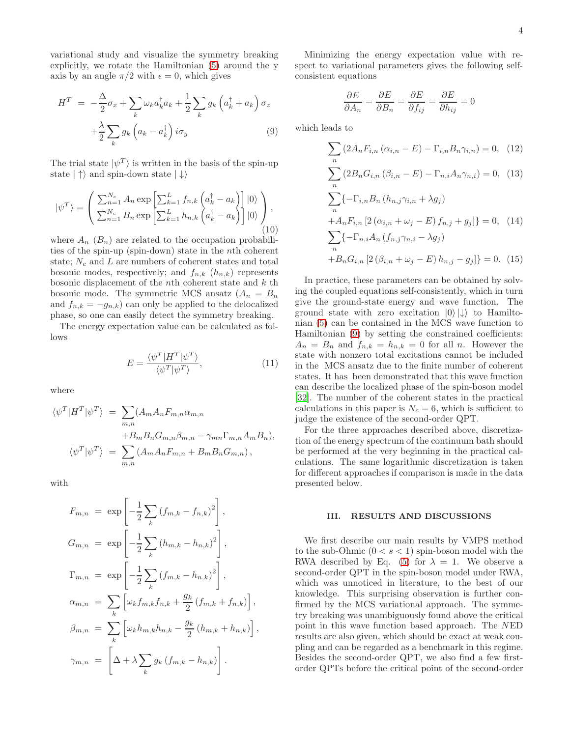variational study and visualize the symmetry breaking explicitly, we rotate the Hamiltonian [\(5\)](#page-1-1) around the y axis by an angle  $\pi/2$  with  $\epsilon = 0$ , which gives

<span id="page-3-0"></span>
$$
H^{T} = -\frac{\Delta}{2}\sigma_{x} + \sum_{k} \omega_{k} a_{k}^{\dagger} a_{k} + \frac{1}{2} \sum_{k} g_{k} \left( a_{k}^{\dagger} + a_{k} \right) \sigma_{z} + \frac{\lambda}{2} \sum_{k} g_{k} \left( a_{k} - a_{k}^{\dagger} \right) i \sigma_{y}
$$
\n(9)

The trial state  $|\psi^T\rangle$  is written in the basis of the spin-up state  $|\uparrow\rangle$  and spin-down state  $|\downarrow\rangle$ 

<span id="page-3-1"></span>
$$
|\psi^T\rangle = \left(\frac{\sum_{n=1}^{N_c} A_n \exp\left[\sum_{k=1}^L f_{n,k} \left(a_k^{\dagger} - a_k\right)\right]|0\rangle}{\sum_{n=1}^{N_c} B_n \exp\left[\sum_{k=1}^L h_{n,k} \left(a_k^{\dagger} - a_k\right)\right]|0\rangle}\right),\tag{10}
$$

where  $A_n$   $(B_n)$  are related to the occupation probabilities of the spin-up (spin-down) state in the nth coherent state;  $N_c$  and  $L$  are numbers of coherent states and total bosonic modes, respectively; and  $f_{n,k}$  ( $h_{n,k}$ ) represents bosonic displacement of the *n*th coherent state and  $k$  th bosonic mode. The symmetric MCS ansatz  $(A_n = B_n)$ and  $f_{n,k} = -g_{n,k}$  can only be applied to the delocalized phase, so one can easily detect the symmetry breaking.

The energy expectation value can be calculated as follows

$$
E = \frac{\langle \psi^T | H^T | \psi^T \rangle}{\langle \psi^T | \psi^T \rangle},\tag{11}
$$

where

$$
\langle \psi^T | H^T | \psi^T \rangle = \sum_{m,n} (A_m A_n F_{m,n} \alpha_{m,n} + B_m B_n G_{m,n} \beta_{m,n} - \gamma_{mn} \Gamma_{m,n} A_m B_n),
$$
  

$$
\langle \psi^T | \psi^T \rangle = \sum_{m,n} (A_m A_n F_{m,n} + B_m B_n G_{m,n}),
$$

with

$$
F_{m,n} = \exp\left[-\frac{1}{2}\sum_{k}\left(f_{m,k} - f_{n,k}\right)^{2}\right],
$$
  
\n
$$
G_{m,n} = \exp\left[-\frac{1}{2}\sum_{k}\left(h_{m,k} - h_{n,k}\right)^{2}\right],
$$
  
\n
$$
\Gamma_{m,n} = \exp\left[-\frac{1}{2}\sum_{k}\left(f_{m,k} - h_{n,k}\right)^{2}\right],
$$
  
\n
$$
\alpha_{m,n} = \sum_{k}\left[\omega_{k}f_{m,k}f_{n,k} + \frac{g_{k}}{2}\left(f_{m,k} + f_{n,k}\right)\right],
$$
  
\n
$$
\beta_{m,n} = \sum_{k}\left[\omega_{k}h_{m,k}h_{n,k} - \frac{g_{k}}{2}\left(h_{m,k} + h_{n,k}\right)\right],
$$
  
\n
$$
\gamma_{m,n} = \left[\Delta + \lambda \sum_{k} g_{k}\left(f_{m,k} - h_{n,k}\right)\right].
$$

Minimizing the energy expectation value with respect to variational parameters gives the following selfconsistent equations

$$
\frac{\partial E}{\partial A_n} = \frac{\partial E}{\partial B_n} = \frac{\partial E}{\partial f_{ij}} = \frac{\partial E}{\partial h_{ij}} = 0
$$

which leads to

$$
\sum_{n} (2A_{n}F_{i,n}(\alpha_{i,n} - E) - \Gamma_{i,n}B_{n}\gamma_{i,n}) = 0, (12)
$$
  

$$
\sum_{n} (2B_{n}G_{i,n}(\beta_{i,n} - E) - \Gamma_{n,i}A_{n}\gamma_{n,i}) = 0, (13)
$$
  

$$
\sum_{n} \{-\Gamma_{i,n}B_{n}(h_{n,j}\gamma_{i,n} + \lambda g_{j})
$$
  

$$
+A_{n}F_{i,n}[2(\alpha_{i,n} + \omega_{j} - E) f_{n,j} + g_{j}]\} = 0, (14)
$$
  

$$
\sum_{n} \{-\Gamma_{n,i}A_{n}(f_{n,j}\gamma_{n,i} - \lambda g_{j})
$$
  

$$
+B_{n}G_{i,n}[2(\beta_{i,n} + \omega_{j} - E) h_{n,j} - g_{j}]\} = 0. (15)
$$

In practice, these parameters can be obtained by solving the coupled equations self-consistently, which in turn give the ground-state energy and wave function. The ground state with zero excitation  $|0\rangle |\downarrow\rangle$  to Hamiltonian [\(5\)](#page-1-1) can be contained in the MCS wave function to Hamiltonian [\(9\)](#page-3-0) by setting the constrained coefficients:  $A_n = B_n$  and  $f_{n,k} = h_{n,k} = 0$  for all n. However the state with nonzero total excitations cannot be included in the MCS ansatz due to the finite number of coherent states. It has been demonstrated that this wave function can describe the localized phase of the spin-boson model [\[32\]](#page-9-37). The number of the coherent states in the practical calculations in this paper is  $N_c = 6$ , which is sufficient to judge the existence of the second-order QPT.

For the three approaches described above, discretization of the energy spectrum of the continuum bath should be performed at the very beginning in the practical calculations. The same logarithmic discretization is taken for different approaches if comparison is made in the data presented below.

#### III. RESULTS AND DISCUSSIONS

We first describe our main results by VMPS method to the sub-Ohmic  $(0 < s < 1)$  spin-boson model with the RWA described by Eq. [\(5\)](#page-1-1) for  $\lambda = 1$ . We observe a second-order QPT in the spin-boson model under RWA, which was unnoticed in literature, to the best of our knowledge. This surprising observation is further confirmed by the MCS variational approach. The symmetry breaking was unambiguously found above the critical point in this wave function based approach. The NED results are also given, which should be exact at weak coupling and can be regarded as a benchmark in this regime. Besides the second-order QPT, we also find a few firstorder QPTs before the critical point of the second-order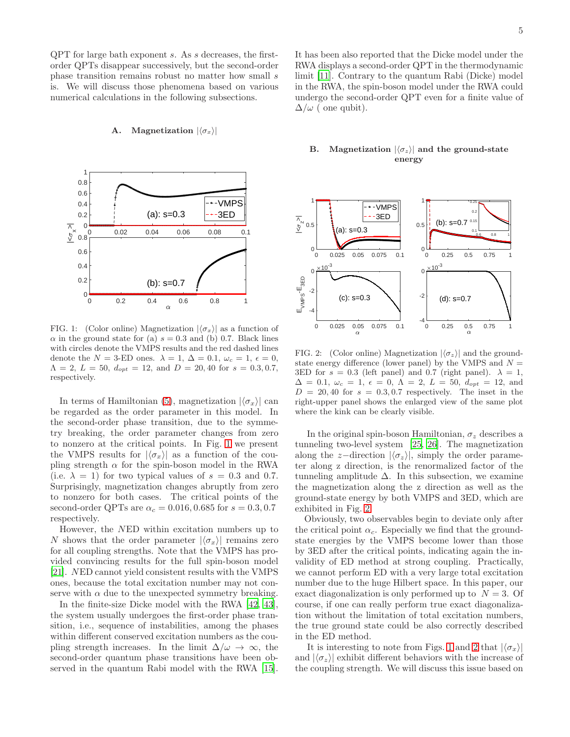QPT for large bath exponent s. As s decreases, the firstorder QPTs disappear successively, but the second-order phase transition remains robust no matter how small s is. We will discuss those phenomena based on various numerical calculations in the following subsections.

#### A. Magnetization  $|\langle \sigma_x \rangle|$



FIG. 1: (Color online) Magnetization  $|\langle \sigma_x \rangle|$  as a function of  $\alpha$  in the ground state for (a)  $s = 0.3$  and (b) 0.7. Black lines with circles denote the VMPS results and the red dashed lines denote the  $N = 3$ -ED ones.  $\lambda = 1, \Delta = 0.1, \omega_c = 1, \epsilon = 0,$  $\Lambda = 2, L = 50, d_{opt} = 12, \text{ and } D = 20, 40 \text{ for } s = 0.3, 0.7,$ respectively.

In terms of Hamiltonian [\(5\)](#page-1-1), magnetization  $|\langle \sigma_x \rangle|$  can be regarded as the order parameter in this model. In the second-order phase transition, due to the symmetry breaking, the order parameter changes from zero to nonzero at the critical points. In Fig. [1](#page-8-0) we present the VMPS results for  $|\langle \sigma_x \rangle|$  as a function of the coupling strength  $\alpha$  for the spin-boson model in the RWA (i.e.  $\lambda = 1$ ) for two typical values of  $s = 0.3$  and 0.7. Surprisingly, magnetization changes abruptly from zero to nonzero for both cases. The critical points of the second-order QPTs are  $\alpha_c = 0.016, 0.685$  for  $s = 0.3, 0.7$ respectively.

However, the NED within excitation numbers up to N shows that the order parameter  $|\langle \sigma_x \rangle|$  remains zero for all coupling strengths. Note that the VMPS has provided convincing results for the full spin-boson model [\[21\]](#page-9-21). NED cannot yield consistent results with the VMPS ones, because the total excitation number may not conserve with  $\alpha$  due to the unexpected symmetry breaking.

In the finite-size Dicke model with the RWA [\[42](#page-9-38), [43\]](#page-9-39), the system usually undergoes the first-order phase transition, i.e., sequence of instabilities, among the phases within different conserved excitation numbers as the coupling strength increases. In the limit  $\Delta/\omega \to \infty$ , the second-order quantum phase transitions have been observed in the quantum Rabi model with the RWA [\[15\]](#page-9-14).

# It has been also reported that the Dicke model under the RWA displays a second-order QPT in the thermodynamic limit [\[11\]](#page-9-13). Contrary to the quantum Rabi (Dicke) model in the RWA, the spin-boson model under the RWA could undergo the second-order QPT even for a finite value of  $\Delta/\omega$  ( one qubit).

### B. Magnetization  $|\langle \sigma_z \rangle|$  and the ground-state energy



FIG. 2: (Color online) Magnetization  $|\langle \sigma_z \rangle|$  and the groundstate energy difference (lower panel) by the VMPS and  $N =$ 3ED for  $s = 0.3$  (left panel) and 0.7 (right panel).  $\lambda = 1$ ,  $\Delta = 0.1, \ \omega_c = 1, \ \epsilon = 0, \ \Lambda = 2, \ L = 50, \ d_{opt} = 12, \text{ and}$  $D = 20, 40$  for  $s = 0.3, 0.7$  respectively. The inset in the right-upper panel shows the enlarged view of the same plot where the kink can be clearly visible.

In the original spin-boson Hamiltonian,  $\sigma_z$  describes a tunneling two-level system [\[25,](#page-9-24) [26](#page-9-40)]. The magnetization along the z-direction  $|\langle \sigma_z \rangle|$ , simply the order parameter along z direction, is the renormalized factor of the tunneling amplitude  $\Delta$ . In this subsection, we examine the magnetization along the z direction as well as the ground-state energy by both VMPS and 3ED, which are exhibited in Fig. [2.](#page-8-1)

Obviously, two observables begin to deviate only after the critical point  $\alpha_c$ . Especially we find that the groundstate energies by the VMPS become lower than those by 3ED after the critical points, indicating again the invalidity of ED method at strong coupling. Practically, we cannot perform ED with a very large total excitation number due to the huge Hilbert space. In this paper, our exact diagonalization is only performed up to  $N = 3$ . Of course, if one can really perform true exact diagonalization without the limitation of total excitation numbers, the true ground state could be also correctly described in the ED method.

It is interesting to note from Figs. [1](#page-8-0) and [2](#page-8-1) that  $|\langle \sigma_x \rangle|$ and  $|\langle \sigma_z \rangle|$  exhibit different behaviors with the increase of the coupling strength. We will discuss this issue based on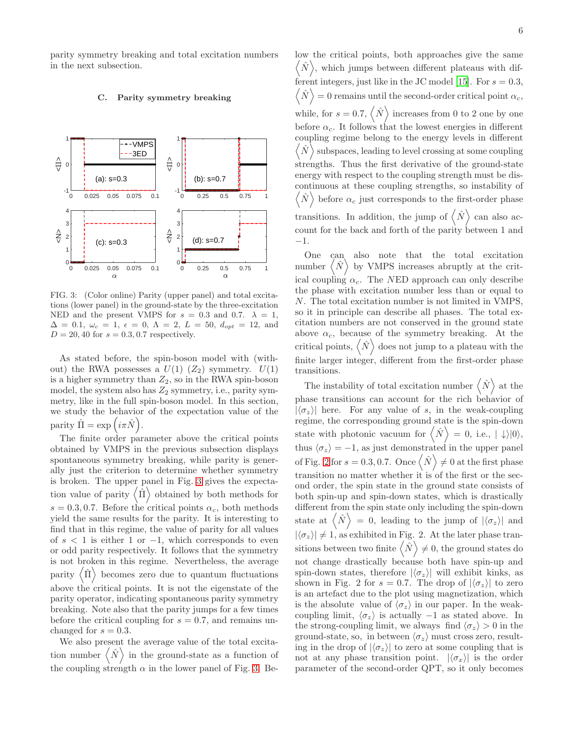parity symmetry breaking and total excitation numbers in the next subsection.

### C. Parity symmetry breaking



FIG. 3: (Color online) Parity (upper panel) and total excitations (lower panel) in the ground-state by the three-excitation NED and the present VMPS for  $s = 0.3$  and 0.7.  $\lambda = 1$ ,  $\Delta = 0.1, \ \omega_c = 1, \ \epsilon = 0, \ \Lambda = 2, \ L = 50, \ d_{opt} = 12, \ \text{and}$  $D = 20, 40$  for  $s = 0.3, 0.7$  respectively.

As stated before, the spin-boson model with (without) the RWA possesses a  $U(1)$  ( $Z_2$ ) symmetry.  $U(1)$ is a higher symmetry than  $Z_2$ , so in the RWA spin-boson model, the system also has  $Z_2$  symmetry, i.e., parity symmetry, like in the full spin-boson model. In this section, we study the behavior of the expectation value of the parity  $\hat{\Pi} = \exp(i\pi \hat{N}).$ 

The finite order parameter above the critical points obtained by VMPS in the previous subsection displays spontaneous symmetry breaking, while parity is generally just the criterion to determine whether symmetry is broken. The upper panel in Fig. [3](#page-8-2) gives the expectation value of parity  $\langle \hat{\Pi} \rangle$  obtained by both methods for  $s = 0.3, 0.7$ . Before the critical points  $\alpha_c$ , both methods yield the same results for the parity. It is interesting to find that in this regime, the value of parity for all values of  $s < 1$  is either 1 or  $-1$ , which corresponds to even or odd parity respectively. It follows that the symmetry is not broken in this regime. Nevertheless, the average *parity*  $\hat{\Pi}$  becomes zero due to quantum fluctuations above the critical points. It is not the eigenstate of the parity operator, indicating spontaneous parity symmetry breaking. Note also that the parity jumps for a few times before the critical coupling for  $s = 0.7$ , and remains unchanged for  $s = 0.3$ .

We also present the average value of the total excitation number  $\langle N \rangle$  in the ground-state as a function of the coupling strength  $\alpha$  in the lower panel of Fig. [3.](#page-8-2) Below the critical points, both approaches give the same  $\langle \hat{N} \rangle$ , which jumps between different plateaus with dif-ferent integers, just like in the JC model [\[15](#page-9-14)]. For  $s = 0.3$ ,  $\langle \hat{N} \rangle = 0$  remains until the second-order critical point  $\alpha_c$ , while, for  $s = 0.7$ ,  $\langle N \rangle$  increases from 0 to 2 one by one before  $\alpha_c$ . It follows that the lowest energies in different coupling regime belong to the energy levels in different  $\langle \hat{N} \rangle$  subspaces, leading to level crossing at some coupling strengths. Thus the first derivative of the ground-state energy with respect to the coupling strength must be discontinuous at these coupling strengths, so instability of D  $\hat{N}$  $\setminus$ before  $\alpha_c$  just corresponds to the first-order phase transitions. In addition, the jump of  $\langle N \rangle$  can also account for the back and forth of the parity between 1 and −1.

One can also note that the total excitation number  $\langle \hat{N} \rangle$  by VMPS increases abruptly at the critical coupling  $\alpha_c$ . The NED approach can only describe the phase with excitation number less than or equal to N. The total excitation number is not limited in VMPS, so it in principle can describe all phases. The total excitation numbers are not conserved in the ground state above  $\alpha_c$ , because of the symmetry breaking. At the critical points,  $\langle N \rangle$  does not jump to a plateau with the finite larger integer, different from the first-order phase transitions.

The instability of total excitation number  $\langle N \rangle$  at the phase transitions can account for the rich behavior of  $|\langle \sigma_z \rangle|$  here. For any value of s, in the weak-coupling regime, the corresponding ground state is the spin-down state with photonic vacuum for  $\langle N \rangle = 0$ , i.e.,  $| \downarrow \rangle |0\rangle$ , thus  $\langle \sigma_z \rangle = -1$ , as just demonstrated in the upper panel of Fig. [2](#page-8-1) for  $s = 0.3, 0.7$ . Once  $\langle N \rangle \neq 0$  at the first phase transition no matter whether it is of the first or the second order, the spin state in the ground state consists of both spin-up and spin-down states, which is drastically different from the spin state only including the spin-down state at  $\langle N \rangle = 0$ , leading to the jump of  $|\langle \sigma_z \rangle|$  and  $|\langle \sigma_z \rangle| \neq 1$ , as exhibited in Fig. 2. At the later phase transitions between two finite  $\langle N \rangle \neq 0$ , the ground states do not change drastically because both have spin-up and spin-down states, therefore  $|\langle \sigma_z \rangle|$  will exhibit kinks, as shown in Fig. 2 for  $s = 0.7$ . The drop of  $|\langle \sigma_z \rangle|$  to zero is an artefact due to the plot using magnetization, which is the absolute value of  $\langle \sigma_z \rangle$  in our paper. In the weakcoupling limit,  $\langle \sigma_z \rangle$  is actually −1 as stated above. In the strong-coupling limit, we always find  $\langle \sigma_z \rangle > 0$  in the ground-state, so, in between  $\langle \sigma_z \rangle$  must cross zero, resulting in the drop of  $|\langle \sigma_z \rangle|$  to zero at some coupling that is not at any phase transition point.  $|\langle \sigma_x \rangle|$  is the order parameter of the second-order QPT, so it only becomes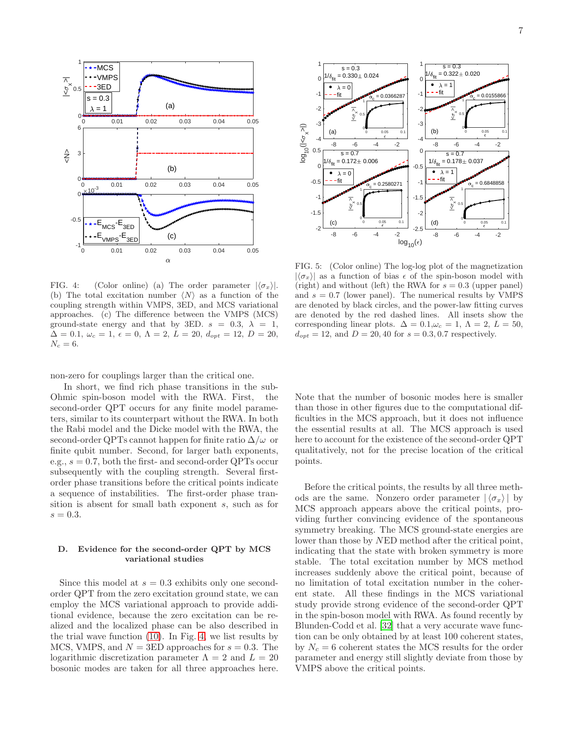

FIG. 4: (Color online) (a) The order parameter  $|\langle \sigma_x \rangle|$ . (b) The total excitation number  $\langle N \rangle$  as a function of the coupling strength within VMPS, 3ED, and MCS variational approaches. (c) The difference between the VMPS (MCS) ground-state energy and that by 3ED.  $s = 0.3, \lambda = 1$ ,  $\Delta = 0.1, \omega_c = 1, \epsilon = 0, \Lambda = 2, L = 20, d_{opt} = 12, D = 20,$  $N_c = 6$ .

non-zero for couplings larger than the critical one.

In short, we find rich phase transitions in the sub-Ohmic spin-boson model with the RWA. First, the second-order QPT occurs for any finite model parameters, similar to its counterpart without the RWA. In both the Rabi model and the Dicke model with the RWA, the second-order QPTs cannot happen for finite ratio  $\Delta/\omega$  or finite qubit number. Second, for larger bath exponents, e.g.,  $s = 0.7$ , both the first- and second-order QPTs occur subsequently with the coupling strength. Several firstorder phase transitions before the critical points indicate a sequence of instabilities. The first-order phase transition is absent for small bath exponent s, such as for  $s = 0.3$ .

## D. Evidence for the second-order QPT by MCS variational studies

Since this model at  $s = 0.3$  exhibits only one secondorder QPT from the zero excitation ground state, we can employ the MCS variational approach to provide additional evidence, because the zero excitation can be realized and the localized phase can be also described in the trial wave function [\(10\)](#page-3-1). In Fig. [4,](#page-8-3) we list results by MCS, VMPS, and  $N = 3ED$  approaches for  $s = 0.3$ . The logarithmic discretization parameter  $\Lambda = 2$  and  $L = 20$ bosonic modes are taken for all three approaches here.



<span id="page-6-0"></span>FIG. 5: (Color online) The log-log plot of the magnetization  $|\langle \sigma_x \rangle|$  as a function of bias  $\epsilon$  of the spin-boson model with (right) and without (left) the RWA for  $s = 0.3$  (upper panel) and  $s = 0.7$  (lower panel). The numerical results by VMPS are denoted by black circles, and the power-law fitting curves are denoted by the red dashed lines. All insets show the corresponding linear plots.  $\Delta = 0.1, \omega_c = 1, \Lambda = 2, L = 50,$  $d_{opt} = 12$ , and  $D = 20, 40$  for  $s = 0.3, 0.7$  respectively.

Note that the number of bosonic modes here is smaller than those in other figures due to the computational difficulties in the MCS approach, but it does not influence the essential results at all. The MCS approach is used here to account for the existence of the second-order QPT qualitatively, not for the precise location of the critical points.

Before the critical points, the results by all three methods are the same. Nonzero order parameter  $|\langle \sigma_x \rangle|$  by MCS approach appears above the critical points, providing further convincing evidence of the spontaneous symmetry breaking. The MCS ground-state energies are lower than those by NED method after the critical point, indicating that the state with broken symmetry is more stable. The total excitation number by MCS method increases suddenly above the critical point, because of no limitation of total excitation number in the coherent state. All these findings in the MCS variational study provide strong evidence of the second-order QPT in the spin-boson model with RWA. As found recently by Blunden-Codd et al. [\[32\]](#page-9-37) that a very accurate wave function can be only obtained by at least 100 coherent states, by  $N_c = 6$  coherent states the MCS results for the order parameter and energy still slightly deviate from those by VMPS above the critical points.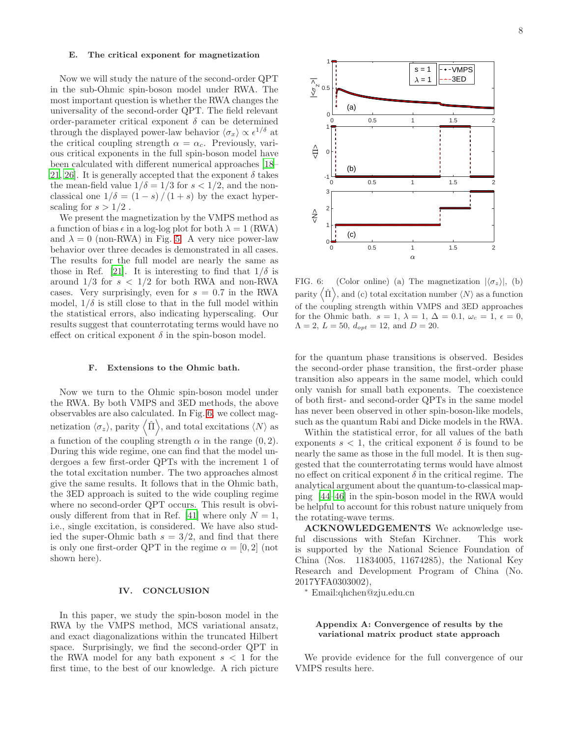#### E. The critical exponent for magnetization

Now we will study the nature of the second-order QPT in the sub-Ohmic spin-boson model under RWA. The most important question is whether the RWA changes the universality of the second-order QPT. The field relevant order-parameter critical exponent  $\delta$  can be determined through the displayed power-law behavior  $\langle \sigma_x \rangle \propto \epsilon^{1/\delta}$  at the critical coupling strength  $\alpha = \alpha_c$ . Previously, various critical exponents in the full spin-boson model have been calculated with different numerical approaches [\[18](#page-9-18)– [21,](#page-9-21) [26](#page-9-40)]. It is generally accepted that the exponent  $\delta$  takes the mean-field value  $1/\delta = 1/3$  for  $s < 1/2$ , and the nonclassical one  $1/\delta = (1-s)/(1+s)$  by the exact hyperscaling for  $s > 1/2$ .

We present the magnetization by the VMPS method as a function of bias  $\epsilon$  in a log-log plot for both  $\lambda = 1$  (RWA) and  $\lambda = 0$  (non-RWA) in Fig. [5.](#page-6-0) A very nice power-law behavior over three decades is demonstrated in all cases. The results for the full model are nearly the same as those in Ref. [\[21](#page-9-21)]. It is interesting to find that  $1/\delta$  is around  $1/3$  for  $s < 1/2$  for both RWA and non-RWA cases. Very surprisingly, even for  $s = 0.7$  in the RWA model,  $1/\delta$  is still close to that in the full model within the statistical errors, also indicating hyperscaling. Our results suggest that counterrotating terms would have no effect on critical exponent  $\delta$  in the spin-boson model.

# F. Extensions to the Ohmic bath.

Now we turn to the Ohmic spin-boson model under the RWA. By both VMPS and 3ED methods, the above observables are also calculated. In Fig. [6,](#page-7-0) we collect magnetization  $\langle \sigma_z \rangle$ , parity  $\langle \hat{\Pi} \rangle$ , and total excitations  $\langle N \rangle$  as a function of the coupling strength  $\alpha$  in the range  $(0, 2)$ . During this wide regime, one can find that the model undergoes a few first-order QPTs with the increment 1 of the total excitation number. The two approaches almost give the same results. It follows that in the Ohmic bath, the 3ED approach is suited to the wide coupling regime where no second-order QPT occurs. This result is obvi-ously different from that in Ref. [\[41\]](#page-9-35) where only  $N = 1$ , i.e., single excitation, is considered. We have also studied the super-Ohmic bath  $s = 3/2$ , and find that there is only one first-order QPT in the regime  $\alpha = [0, 2]$  (not shown here).

#### IV. CONCLUSION

In this paper, we study the spin-boson model in the RWA by the VMPS method, MCS variational ansatz, and exact diagonalizations within the truncated Hilbert space. Surprisingly, we find the second-order QPT in the RWA model for any bath exponent  $s < 1$  for the first time, to the best of our knowledge. A rich picture



<span id="page-7-0"></span>FIG. 6: (Color online) (a) The magnetization  $|\langle \sigma_z \rangle|$ , (b) parity  $\langle \hat{\Pi} \rangle$ , and (c) total excitation number  $\langle N \rangle$  as a function of the coupling strength within VMPS and 3ED approaches for the Ohmic bath.  $s = 1$ ,  $\lambda = 1$ ,  $\Delta = 0.1$ ,  $\omega_c = 1$ ,  $\epsilon = 0$ ,  $\Lambda = 2, L = 50, d_{opt} = 12, \text{ and } D = 20.$ 

for the quantum phase transitions is observed. Besides the second-order phase transition, the first-order phase transition also appears in the same model, which could only vanish for small bath exponents. The coexistence of both first- and second-order QPTs in the same model has never been observed in other spin-boson-like models, such as the quantum Rabi and Dicke models in the RWA.

Within the statistical error, for all values of the bath exponents  $s < 1$ , the critical exponent  $\delta$  is found to be nearly the same as those in the full model. It is then suggested that the counterrotating terms would have almost no effect on critical exponent  $\delta$  in the critical regime. The analytical argument about the quantum-to-classical mapping [\[44](#page-9-41)[–46\]](#page-9-42) in the spin-boson model in the RWA would be helpful to account for this robust nature uniquely from the rotating-wave terms.

ACKNOWLEDGEMENTS We acknowledge useful discussions with Stefan Kirchner. This work is supported by the National Science Foundation of China (Nos. 11834005, 11674285), the National Key Research and Development Program of China (No. 2017YFA0303002),

<sup>∗</sup> Email:qhchen@zju.edu.cn

#### Appendix A: Convergence of results by the variational matrix product state approach

We provide evidence for the full convergence of our VMPS results here.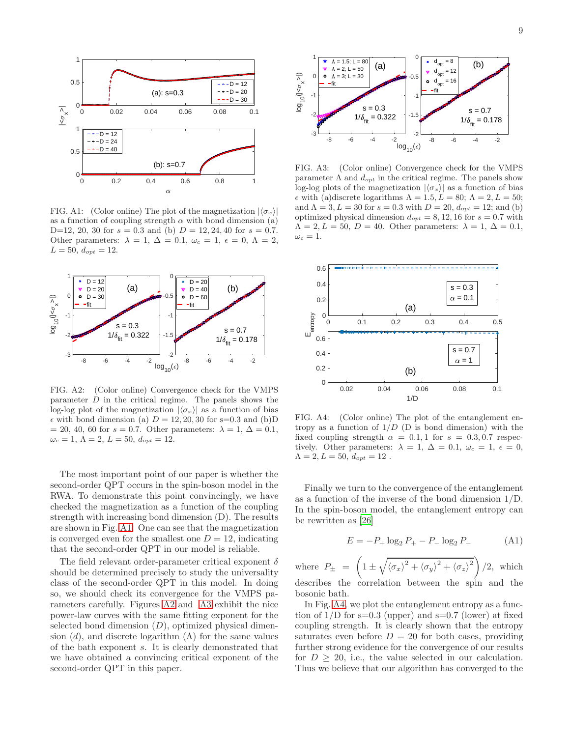

<span id="page-8-0"></span>FIG. A1: (Color online) The plot of the magnetization  $|\langle \sigma_x \rangle|$ as a function of coupling strength  $\alpha$  with bond dimension (a) D=12, 20, 30 for  $s = 0.3$  and (b)  $D = 12, 24, 40$  for  $s = 0.7$ . Other parameters:  $\lambda = 1, \Delta = 0.1, \omega_c = 1, \epsilon = 0, \Lambda = 2,$  $L = 50, d_{opt} = 12.$ 



<span id="page-8-1"></span>FIG. A2: (Color online) Convergence check for the VMPS parameter  $D$  in the critical regime. The panels shows the log-log plot of the magnetization  $|\langle \sigma_x \rangle|$  as a function of bias  $\epsilon$  with bond dimension (a)  $D = 12, 20, 30$  for s=0.3 and (b)D  $= 20, 40, 60$  for  $s = 0.7$ . Other parameters:  $\lambda = 1, \Delta = 0.1$ ,  $\omega_c = 1, \Lambda = 2, L = 50, d_{opt} = 12.$ 

The most important point of our paper is whether the second-order QPT occurs in the spin-boson model in the RWA. To demonstrate this point convincingly, we have checked the magnetization as a function of the coupling strength with increasing bond dimension (D). The results are shown in Fig. [A1.](#page-8-0) One can see that the magnetization is converged even for the smallest one  $D = 12$ , indicating that the second-order QPT in our model is reliable.

The field relevant order-parameter critical exponent  $\delta$ should be determined precisely to study the universality class of the second-order QPT in this model. In doing so, we should check its convergence for the VMPS parameters carefully. Figures [A2](#page-8-1) and [A3](#page-8-2) exhibit the nice power-law curves with the same fitting exponent for the selected bond dimension  $(D)$ , optimized physical dimension (d), and discrete logarithm ( $\Lambda$ ) for the same values of the bath exponent s. It is clearly demonstrated that we have obtained a convincing critical exponent of the second-order QPT in this paper.



<span id="page-8-2"></span>FIG. A3: (Color online) Convergence check for the VMPS parameter  $\Lambda$  and  $d_{opt}$  in the critical regime. The panels show log-log plots of the magnetization  $|\langle \sigma_x \rangle|$  as a function of bias  $\epsilon$  with (a)discrete logarithms  $\Lambda = 1.5, L = 80; \Lambda = 2, L = 50;$ and  $\Lambda = 3, L = 30$  for  $s = 0.3$  with  $D = 20, d_{opt} = 12$ ; and (b) optimized physical dimension  $d_{opt} = 8, 12, 16$  for  $s = 0.7$  with  $\Lambda = 2, L = 50, D = 40.$  Other parameters:  $\lambda = 1, \Delta = 0.1,$  $\omega_c=1.$ 



<span id="page-8-3"></span>FIG. A4: (Color online) The plot of the entanglement entropy as a function of  $1/D$  (D is bond dimension) with the fixed coupling strength  $\alpha = 0.1, 1$  for  $s = 0.3, 0.7$  respectively. Other parameters:  $\lambda = 1, \Delta = 0.1, \omega_c = 1, \epsilon = 0,$  $\Lambda = 2, L = 50, d_{opt} = 12$ .

Finally we turn to the convergence of the entanglement as a function of the inverse of the bond dimension 1/D. In the spin-boson model, the entanglement entropy can be rewritten as [\[26\]](#page-9-40)

$$
E = -P_+ \log_2 P_+ - P_- \log_2 P_- \tag{A1}
$$

where  $P_{\pm} = \left(1 \pm \sqrt{\langle \sigma_x \rangle^2 + \langle \sigma_y \rangle^2 + \langle \sigma_z \rangle^2}\right)/2$ , which describes the correlation between the spin and the bosonic bath.

In Fig. [A4,](#page-8-3) we plot the entanglement entropy as a function of  $1/D$  for  $s=0.3$  (upper) and  $s=0.7$  (lower) at fixed coupling strength. It is clearly shown that the entropy saturates even before  $D = 20$  for both cases, providing further strong evidence for the convergence of our results for  $D > 20$ , i.e., the value selected in our calculation. Thus we believe that our algorithm has converged to the